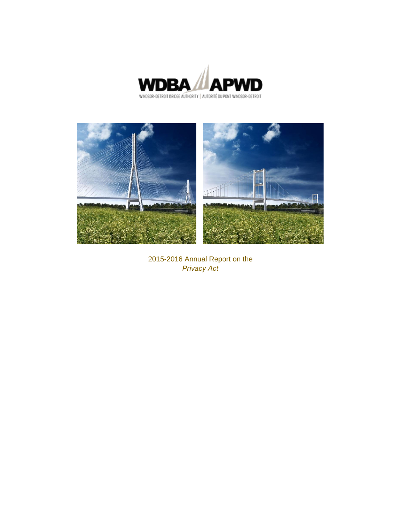



2015-2016 Annual Report on the *Privacy Act*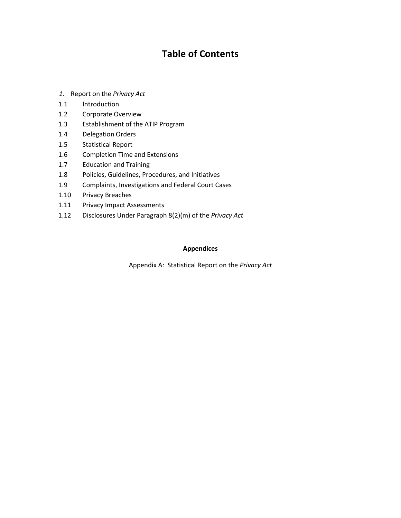### **Table of Contents**

- *1.* Report on the *Privacy Act*
- 1.1 Introduction
- 1.2 Corporate Overview
- 1.3 Establishment of the ATIP Program
- 1.4 Delegation Orders
- 1.5 Statistical Report
- 1.6 Completion Time and Extensions
- 1.7 Education and Training
- 1.8 Policies, Guidelines, Procedures, and Initiatives
- 1.9 Complaints, Investigations and Federal Court Cases
- 1.10 Privacy Breaches
- 1.11 Privacy Impact Assessments
- 1.12 Disclosures Under Paragraph 8(2)(m) of the *Privacy Act*

#### **Appendices**

Appendix A: Statistical Report on the *Privacy Act*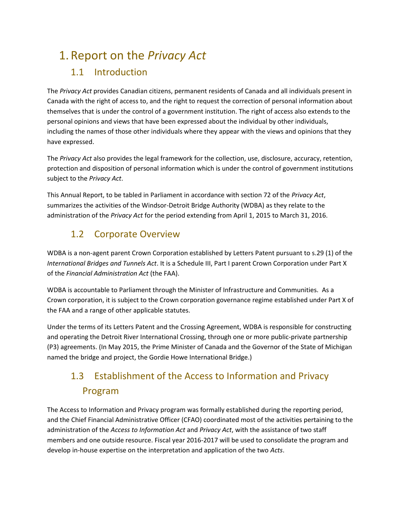# 1. Report on the *Privacy Act*

### 1.1 Introduction

The *Privacy Act* provides Canadian citizens, permanent residents of Canada and all individuals present in Canada with the right of access to, and the right to request the correction of personal information about themselves that is under the control of a government institution. The right of access also extends to the personal opinions and views that have been expressed about the individual by other individuals, including the names of those other individuals where they appear with the views and opinions that they have expressed.

The *Privacy Act* also provides the legal framework for the collection, use, disclosure, accuracy, retention, protection and disposition of personal information which is under the control of government institutions subject to the *Privacy Act*.

This Annual Report, to be tabled in Parliament in accordance with section 72 of the *Privacy Act*, summarizes the activities of the Windsor-Detroit Bridge Authority (WDBA) as they relate to the administration of the *Privacy Act* for the period extending from April 1, 2015 to March 31, 2016.

### 1.2 Corporate Overview

WDBA is a non-agent parent Crown Corporation established by Letters Patent pursuant to s.29 (1) of the *International Bridges and Tunnels Act*. It is a Schedule III, Part I parent Crown Corporation under Part X of the *Financial Administration Act* (the FAA).

WDBA is accountable to Parliament through the Minister of Infrastructure and Communities. As a Crown corporation, it is subject to the Crown corporation governance regime established under Part X of the FAA and a range of other applicable statutes.

Under the terms of its Letters Patent and the Crossing Agreement, WDBA is responsible for constructing and operating the Detroit River International Crossing, through one or more public-private partnership (P3) agreements. (In May 2015, the Prime Minister of Canada and the Governor of the State of Michigan named the bridge and project, the Gordie Howe International Bridge.)

## 1.3 Establishment of the Access to Information and Privacy Program

The Access to Information and Privacy program was formally established during the reporting period, and the Chief Financial Administrative Officer (CFAO) coordinated most of the activities pertaining to the administration of the *Access to Information Act* and *Privacy Act*, with the assistance of two staff members and one outside resource. Fiscal year 2016-2017 will be used to consolidate the program and develop in-house expertise on the interpretation and application of the two *Acts*.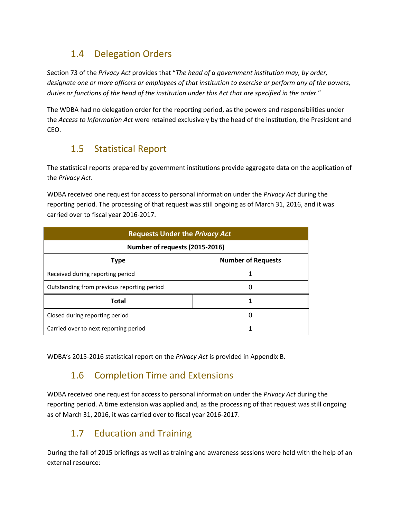### 1.4 Delegation Orders

Section 73 of the *Privacy Act* provides that "*The head of a government institution may, by order, designate one or more officers or employees of that institution to exercise or perform any of the powers, duties or functions of the head of the institution under this Act that are specified in the order.*"

The WDBA had no delegation order for the reporting period, as the powers and responsibilities under the *Access to Information Act* were retained exclusively by the head of the institution, the President and CEO.

### 1.5 Statistical Report

The statistical reports prepared by government institutions provide aggregate data on the application of the *Privacy Act*.

WDBA received one request for access to personal information under the *Privacy Act* during the reporting period. The processing of that request was still ongoing as of March 31, 2016, and it was carried over to fiscal year 2016-2017.

| <b>Requests Under the Privacy Act</b>      |                           |  |  |  |  |  |
|--------------------------------------------|---------------------------|--|--|--|--|--|
| Number of requests (2015-2016)             |                           |  |  |  |  |  |
| <b>Type</b>                                | <b>Number of Requests</b> |  |  |  |  |  |
| Received during reporting period           |                           |  |  |  |  |  |
| Outstanding from previous reporting period |                           |  |  |  |  |  |
| <b>Total</b>                               |                           |  |  |  |  |  |
| Closed during reporting period             |                           |  |  |  |  |  |
| Carried over to next reporting period      |                           |  |  |  |  |  |

WDBA's 2015-2016 statistical report on the *Privacy Act* is provided in Appendix B.

### 1.6 Completion Time and Extensions

WDBA received one request for access to personal information under the *Privacy Act* during the reporting period. A time extension was applied and, as the processing of that request was still ongoing as of March 31, 2016, it was carried over to fiscal year 2016-2017.

### 1.7 Education and Training

During the fall of 2015 briefings as well as training and awareness sessions were held with the help of an external resource: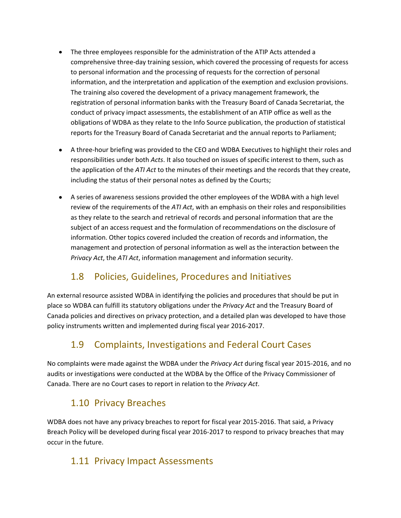- The three employees responsible for the administration of the ATIP Acts attended a comprehensive three-day training session, which covered the processing of requests for access to personal information and the processing of requests for the correction of personal information, and the interpretation and application of the exemption and exclusion provisions. The training also covered the development of a privacy management framework, the registration of personal information banks with the Treasury Board of Canada Secretariat, the conduct of privacy impact assessments, the establishment of an ATIP office as well as the obligations of WDBA as they relate to the Info Source publication, the production of statistical reports for the Treasury Board of Canada Secretariat and the annual reports to Parliament;
- A three-hour briefing was provided to the CEO and WDBA Executives to highlight their roles and responsibilities under both *Acts*. It also touched on issues of specific interest to them, such as the application of the *ATI Act* to the minutes of their meetings and the records that they create, including the status of their personal notes as defined by the Courts;
- A series of awareness sessions provided the other employees of the WDBA with a high level review of the requirements of the *ATI Act*, with an emphasis on their roles and responsibilities as they relate to the search and retrieval of records and personal information that are the subject of an access request and the formulation of recommendations on the disclosure of information. Other topics covered included the creation of records and information, the management and protection of personal information as well as the interaction between the *Privacy Act*, the *ATI Act*, information management and information security.

### 1.8 Policies, Guidelines, Procedures and Initiatives

An external resource assisted WDBA in identifying the policies and procedures that should be put in place so WDBA can fulfill its statutory obligations under the *Privacy Act* and the Treasury Board of Canada policies and directives on privacy protection, and a detailed plan was developed to have those policy instruments written and implemented during fiscal year 2016-2017.

### 1.9 Complaints, Investigations and Federal Court Cases

No complaints were made against the WDBA under the *Privacy Act* during fiscal year 2015-2016, and no audits or investigations were conducted at the WDBA by the Office of the Privacy Commissioner of Canada. There are no Court cases to report in relation to the *Privacy Act*.

### 1.10 Privacy Breaches

WDBA does not have any privacy breaches to report for fiscal year 2015-2016. That said, a Privacy Breach Policy will be developed during fiscal year 2016-2017 to respond to privacy breaches that may occur in the future.

### 1.11 Privacy Impact Assessments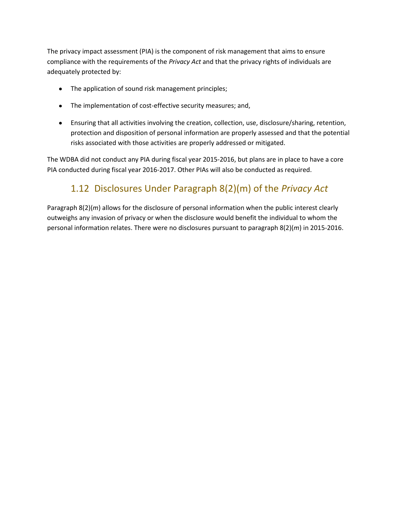The privacy impact assessment (PIA) is the component of risk management that aims to ensure compliance with the requirements of the *Privacy Act* and that the privacy rights of individuals are adequately protected by:

- The application of sound risk management principles;  $\bullet$
- The implementation of cost-effective security measures; and,
- Ensuring that all activities involving the creation, collection, use, disclosure/sharing, retention, protection and disposition of personal information are properly assessed and that the potential risks associated with those activities are properly addressed or mitigated.

The WDBA did not conduct any PIA during fiscal year 2015-2016, but plans are in place to have a core PIA conducted during fiscal year 2016-2017. Other PIAs will also be conducted as required.

### 1.12 Disclosures Under Paragraph 8(2)(m) of the *Privacy Act*

Paragraph 8(2)(*m*) allows for the disclosure of personal information when the public interest clearly outweighs any invasion of privacy or when the disclosure would benefit the individual to whom the personal information relates. There were no disclosures pursuant to paragraph 8(2)(*m*) in 2015-2016.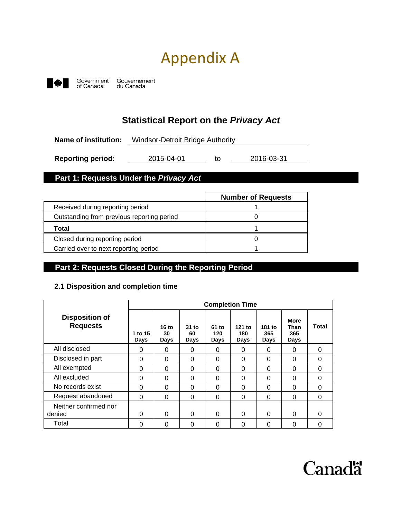# Appendix A



### **Statistical Report on the** *Privacy Act*

**Name of institution:** Windsor-Detroit Bridge Authority

**Reporting period:** 2015-04-01 to 2016-03-31

#### **Part 1: Requests Under the** *Privacy Act*

|                                            | <b>Number of Requests</b> |
|--------------------------------------------|---------------------------|
| Received during reporting period           |                           |
| Outstanding from previous reporting period |                           |
| Total                                      |                           |
| Closed during reporting period             |                           |
| Carried over to next reporting period      |                           |

#### **Part 2: Requests Closed During the Reporting Period**

#### **2.1 Disposition and completion time**

|                                          |                 |                     |                     |                      | <b>Completion Time</b> |                       |                                           |              |
|------------------------------------------|-----------------|---------------------|---------------------|----------------------|------------------------|-----------------------|-------------------------------------------|--------------|
| <b>Disposition of</b><br><b>Requests</b> | 1 to 15<br>Days | 16 to<br>30<br>Days | 31 to<br>60<br>Days | 61 to<br>120<br>Days | 121 to<br>180<br>Days  | 181 to<br>365<br>Days | <b>More</b><br>Than<br>365<br><b>Days</b> | <b>Total</b> |
| All disclosed                            | 0               | 0                   | 0                   | 0                    | 0                      | 0                     | 0                                         | 0            |
| Disclosed in part                        | $\Omega$        | $\Omega$            | 0                   | 0                    | 0                      | 0                     | 0                                         | $\Omega$     |
| All exempted                             | $\Omega$        | $\Omega$            | 0                   | $\Omega$             | $\Omega$               | 0                     | $\Omega$                                  | $\Omega$     |
| All excluded                             | $\Omega$        | $\Omega$            | 0                   | $\Omega$             | 0                      | 0                     | 0                                         | $\Omega$     |
| No records exist                         | $\Omega$        | $\Omega$            | 0                   | $\Omega$             | 0                      | 0                     | 0                                         | O            |
| Request abandoned                        | 0               | $\Omega$            | 0                   | 0                    | 0                      | 0                     | 0                                         | $\Omega$     |
| Neither confirmed nor<br>denied          | $\Omega$        | $\Omega$            | 0                   | $\Omega$             | $\Omega$               | $\Omega$              | $\Omega$                                  | ∩            |
| Total                                    | 0               | 0                   | 0                   | 0                    | 0                      | 0                     | 0                                         | 0            |

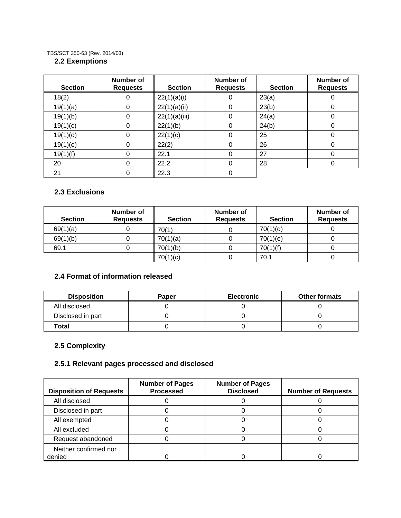#### TBS/SCT 350-63 (Rev. 2014/03)

#### **2.2 Exemptions**

| <b>Section</b> | Number of<br><b>Requests</b> | <b>Section</b> | Number of<br><b>Requests</b> | <b>Section</b> | <b>Number of</b><br><b>Requests</b> |
|----------------|------------------------------|----------------|------------------------------|----------------|-------------------------------------|
| 18(2)          | 0                            | 22(1)(a)(i)    | 0                            | 23(a)          |                                     |
| 19(1)(a)       | 0                            | 22(1)(a)(ii)   | 0                            | 23(b)          | O                                   |
| 19(1)(b)       | 0                            | 22(1)(a)(iii)  | 0                            | 24(a)          |                                     |
| 19(1)(c)       | 0                            | 22(1)(b)       | 0                            | 24(b)          |                                     |
| 19(1)(d)       | 0                            | 22(1)(c)       | 0                            | 25             |                                     |
| 19(1)(e)       | 0                            | 22(2)          | 0                            | 26             |                                     |
| 19(1)(f)       | 0                            | 22.1           | 0                            | 27             |                                     |
| 20             | 0                            | 22.2           | 0                            | 28             |                                     |
| 21             | 0                            | 22.3           | 0                            |                |                                     |

#### **2.3 Exclusions**

| <b>Section</b> | Number of<br><b>Requests</b> | <b>Section</b> | Number of<br><b>Requests</b> | <b>Section</b> | Number of<br><b>Requests</b> |
|----------------|------------------------------|----------------|------------------------------|----------------|------------------------------|
| 69(1)(a)       |                              | 70(1)          |                              | 70(1)(d)       |                              |
| 69(1)(b)       |                              | 70(1)(a)       |                              | 70(1)(e)       |                              |
| 69.1           |                              | 70(1)(b)       |                              | 70(1)(f)       |                              |
|                |                              | 70(1)(c)       |                              | 70.1           |                              |

#### **2.4 Format of information released**

| <b>Disposition</b> | <b>Paper</b> | <b>Electronic</b> | <b>Other formats</b> |
|--------------------|--------------|-------------------|----------------------|
| All disclosed      |              |                   |                      |
| Disclosed in part  |              |                   |                      |
| Total              |              |                   |                      |

#### **2.5 Complexity**

#### **2.5.1 Relevant pages processed and disclosed**

| <b>Disposition of Requests</b> | <b>Number of Pages</b><br><b>Processed</b> | <b>Number of Pages</b><br><b>Disclosed</b> | <b>Number of Requests</b> |
|--------------------------------|--------------------------------------------|--------------------------------------------|---------------------------|
| All disclosed                  |                                            |                                            |                           |
| Disclosed in part              |                                            |                                            |                           |
| All exempted                   |                                            |                                            |                           |
| All excluded                   |                                            |                                            |                           |
| Request abandoned              |                                            |                                            |                           |
| Neither confirmed nor          |                                            |                                            |                           |
| denied                         |                                            |                                            |                           |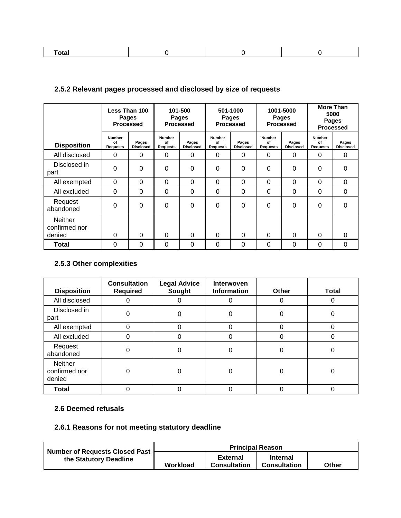|--|

#### **2.5.2 Relevant pages processed and disclosed by size of requests**

|                                           |                                        | Less Than 100<br>Pages<br><b>Processed</b> |                                        | 101-500<br>Pages<br><b>Processed</b> |                                 | 501-1000<br><b>Pages</b><br><b>Processed</b> |                                        | 1001-5000<br>Pages<br><b>Processed</b> |                                        | <b>More Than</b><br>5000<br>Pages<br><b>Processed</b> |
|-------------------------------------------|----------------------------------------|--------------------------------------------|----------------------------------------|--------------------------------------|---------------------------------|----------------------------------------------|----------------------------------------|----------------------------------------|----------------------------------------|-------------------------------------------------------|
| <b>Disposition</b>                        | <b>Number</b><br>of<br><b>Requests</b> | Pages<br><b>Disclosed</b>                  | <b>Number</b><br>of<br><b>Requests</b> | Pages<br><b>Disclosed</b>            | Number<br>of<br><b>Requests</b> | Pages<br><b>Disclosed</b>                    | <b>Number</b><br>of<br><b>Requests</b> | Pages<br><b>Disclosed</b>              | <b>Number</b><br>Ωf<br><b>Requests</b> | Pages<br><b>Disclosed</b>                             |
| All disclosed                             | 0                                      | 0                                          | $\Omega$                               | $\Omega$                             | $\Omega$                        | 0                                            | 0                                      | 0                                      | 0                                      | $\Omega$                                              |
| Disclosed in<br>part                      | 0                                      | $\Omega$                                   | $\Omega$                               | $\Omega$                             | 0                               | $\Omega$                                     | 0                                      | 0                                      | 0                                      | $\Omega$                                              |
| All exempted                              | 0                                      | $\Omega$                                   | $\Omega$                               | $\Omega$                             | $\Omega$                        | 0                                            | 0                                      | $\Omega$                               | 0                                      | $\Omega$                                              |
| All excluded                              | 0                                      | $\Omega$                                   | $\Omega$                               | 0                                    | $\mathbf 0$                     | 0                                            | 0                                      | 0                                      | 0                                      | 0                                                     |
| Request<br>abandoned                      | 0                                      | $\Omega$                                   | $\Omega$                               | $\Omega$                             | $\Omega$                        | $\Omega$                                     | 0                                      | 0                                      | 0                                      | 0                                                     |
| <b>Neither</b><br>confirmed nor<br>denied | 0                                      | $\Omega$                                   | $\Omega$                               | $\Omega$                             | $\Omega$                        | 0                                            | 0                                      | 0                                      | 0                                      | $\Omega$                                              |
| <b>Total</b>                              | $\Omega$                               | $\Omega$                                   | $\Omega$                               | $\Omega$                             | $\Omega$                        | 0                                            | 0                                      | $\Omega$                               | $\Omega$                               | $\Omega$                                              |

#### **2.5.3 Other complexities**

| <b>Disposition</b>                 | <b>Consultation</b><br><b>Required</b> | <b>Legal Advice</b><br>Sought | Interwoven<br><b>Information</b> | <b>Other</b> | <b>Total</b> |
|------------------------------------|----------------------------------------|-------------------------------|----------------------------------|--------------|--------------|
| All disclosed                      |                                        |                               |                                  | 0            |              |
| Disclosed in<br>part               | 0                                      |                               | 0                                | 0            | 0            |
| All exempted                       | 0                                      | 0                             | $\Omega$                         | 0            | 0            |
| All excluded                       | 0                                      | 0                             | 0                                | 0            | 0            |
| Request<br>abandoned               | 0                                      | 0                             | 0                                | 0            | 0            |
| Neither<br>confirmed nor<br>denied | 0                                      |                               | 0                                | 0            |              |
| <b>Total</b>                       |                                        |                               |                                  | 0            |              |

#### **2.6 Deemed refusals**

#### **2.6.1 Reasons for not meeting statutory deadline**

| Number of Requests Closed Past | <b>Principal Reason</b> |                                        |                                        |       |  |  |
|--------------------------------|-------------------------|----------------------------------------|----------------------------------------|-------|--|--|
| the Statutory Deadline         | Workload                | <b>External</b><br><b>Consultation</b> | <b>Internal</b><br><b>Consultation</b> | Other |  |  |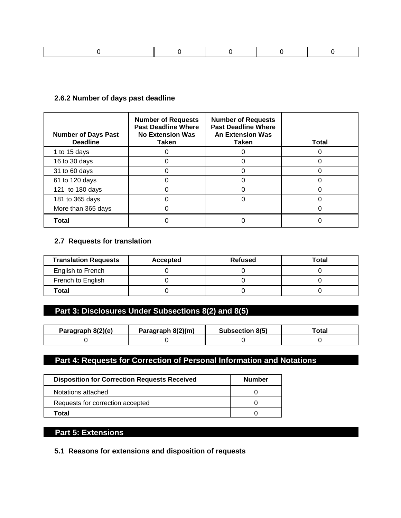|--|--|--|--|--|--|

#### **2.6.2 Number of days past deadline**

| <b>Number of Days Past</b><br><b>Deadline</b> | <b>Number of Requests</b><br><b>Past Deadline Where</b><br><b>No Extension Was</b><br>Taken | <b>Number of Requests</b><br><b>Past Deadline Where</b><br><b>An Extension Was</b><br>Taken | <b>Total</b> |
|-----------------------------------------------|---------------------------------------------------------------------------------------------|---------------------------------------------------------------------------------------------|--------------|
| 1 to 15 days                                  |                                                                                             |                                                                                             |              |
| 16 to 30 days                                 |                                                                                             |                                                                                             |              |
| 31 to 60 days                                 |                                                                                             |                                                                                             |              |
| 61 to 120 days                                |                                                                                             |                                                                                             |              |
| 121 to 180 days                               |                                                                                             |                                                                                             |              |
| 181 to 365 days                               |                                                                                             |                                                                                             |              |
| More than 365 days                            |                                                                                             |                                                                                             |              |
| Total                                         |                                                                                             |                                                                                             |              |

#### **2.7 Requests for translation**

| <b>Translation Requests</b> | Accepted | <b>Refused</b> | Total |  |  |
|-----------------------------|----------|----------------|-------|--|--|
| English to French           |          |                |       |  |  |
| French to English           |          |                |       |  |  |
| Total                       |          |                |       |  |  |

### **Part 3: Disclosures Under Subsections 8(2) and 8(5)**

| Paragraph 8(2)(e) | Paragraph 8(2)(m) | Subsection 8(5) | ™otaı |  |  |
|-------------------|-------------------|-----------------|-------|--|--|
|                   |                   |                 |       |  |  |

### **Part 4: Requests for Correction of Personal Information and Notations**

| <b>Disposition for Correction Requests Received</b> | <b>Number</b> |
|-----------------------------------------------------|---------------|
| Notations attached                                  |               |
| Requests for correction accepted                    |               |
| ⊺otal                                               |               |

#### **Part 5: Extensions**

**5.1 Reasons for extensions and disposition of requests**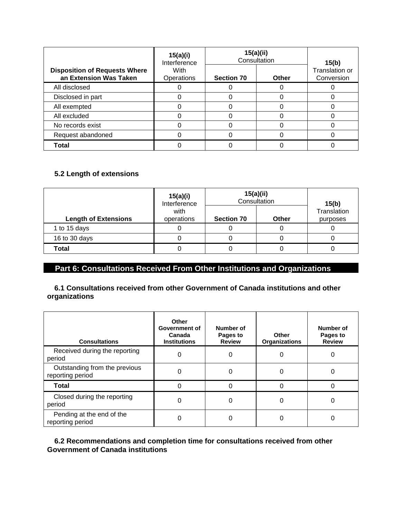|                                                                | 15(a)(i)<br>Interference | 15(a)(ii)<br>Consultation | 15(b) |                              |  |
|----------------------------------------------------------------|--------------------------|---------------------------|-------|------------------------------|--|
| <b>Disposition of Requests Where</b><br>an Extension Was Taken | With<br>Operations       | <b>Section 70</b>         | Other | Translation or<br>Conversion |  |
| All disclosed                                                  |                          |                           | C     |                              |  |
| Disclosed in part                                              |                          |                           |       |                              |  |
| All exempted                                                   |                          |                           | C     |                              |  |
| All excluded                                                   |                          | Ω                         |       |                              |  |
| No records exist                                               |                          |                           |       |                              |  |
| Request abandoned                                              |                          |                           | C     |                              |  |
| <b>Total</b>                                                   |                          |                           |       |                              |  |

#### **5.2 Length of extensions**

|                             | 15(a)(i)<br>Interference | 15(a)(ii)<br>Consultation | 15(b)        |                         |  |
|-----------------------------|--------------------------|---------------------------|--------------|-------------------------|--|
| <b>Length of Extensions</b> | with<br>operations       | <b>Section 70</b>         | <b>Other</b> | Translation<br>purposes |  |
| 1 to 15 days                | υ                        | U                         | U            |                         |  |
| 16 to 30 days               |                          |                           |              |                         |  |
| Total                       |                          |                           |              |                         |  |

### **Part 6: Consultations Received From Other Institutions and Organizations**

#### **6.1 Consultations received from other Government of Canada institutions and other organizations**

| <b>Consultations</b>                              | Other<br>Government of<br>Canada<br><b>Institutions</b> | Number of<br>Pages to<br><b>Review</b> | <b>Other</b><br><b>Organizations</b> | Number of<br>Pages to<br><b>Review</b> |
|---------------------------------------------------|---------------------------------------------------------|----------------------------------------|--------------------------------------|----------------------------------------|
| Received during the reporting<br>period           | 0                                                       | 0                                      | 0                                    | 0                                      |
| Outstanding from the previous<br>reporting period |                                                         | 0                                      | 0                                    |                                        |
| <b>Total</b>                                      |                                                         | 0                                      | O                                    |                                        |
| Closed during the reporting<br>period             | 0                                                       | 0                                      | 0                                    | O                                      |
| Pending at the end of the<br>reporting period     |                                                         | 0                                      | 0                                    |                                        |

#### **6.2 Recommendations and completion time for consultations received from other Government of Canada institutions**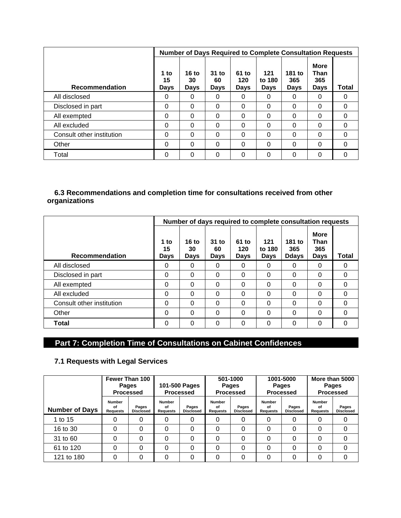|                           |                           |                            |                       |                      |                              | <b>Number of Days Required to Complete Consultation Requests</b> |                                    |          |
|---------------------------|---------------------------|----------------------------|-----------------------|----------------------|------------------------------|------------------------------------------------------------------|------------------------------------|----------|
| <b>Recommendation</b>     | 1 to<br>15<br><b>Days</b> | 16 to<br>30<br><b>Days</b> | $31$ to<br>60<br>Days | 61 to<br>120<br>Days | 121<br>to 180<br><b>Days</b> | 181 to<br>365<br>Days                                            | <b>More</b><br>Than<br>365<br>Days | Total    |
| All disclosed             | 0                         | $\Omega$                   | $\Omega$              | 0                    | $\Omega$                     | $\Omega$                                                         | 0                                  | 0        |
| Disclosed in part         | $\Omega$                  | $\Omega$                   | $\Omega$              | 0                    | $\Omega$                     | $\Omega$                                                         | 0                                  | $\Omega$ |
| All exempted              | $\Omega$                  | $\Omega$                   | $\Omega$              | 0                    | $\Omega$                     | $\Omega$                                                         | $\Omega$                           | $\Omega$ |
| All excluded              | $\Omega$                  | $\Omega$                   | $\Omega$              | 0                    | $\Omega$                     | $\Omega$                                                         | 0                                  | $\Omega$ |
| Consult other institution | $\Omega$                  | $\Omega$                   | $\Omega$              | $\Omega$             | $\Omega$                     | $\Omega$                                                         | 0                                  | $\Omega$ |
| Other                     | $\Omega$                  | $\Omega$                   | $\Omega$              | 0                    | $\Omega$                     | $\Omega$                                                         | 0                                  | 0        |
| Total                     | $\Omega$                  | $\Omega$                   | $\Omega$              | 0                    | $\Omega$                     | $\Omega$                                                         | 0                                  | 0        |

#### **6.3 Recommendations and completion time for consultations received from other organizations**

|                           |                    |                            |                       |                      |                       | Number of days required to complete consultation requests |                                           |          |
|---------------------------|--------------------|----------------------------|-----------------------|----------------------|-----------------------|-----------------------------------------------------------|-------------------------------------------|----------|
| <b>Recommendation</b>     | 1 to<br>15<br>Days | 16 to<br>30<br><b>Days</b> | $31$ to<br>60<br>Days | 61 to<br>120<br>Days | 121<br>to 180<br>Days | 181 to<br>365<br><b>Ddays</b>                             | <b>More</b><br>Than<br>365<br><b>Days</b> | Total    |
| All disclosed             | 0                  | 0                          | $\Omega$              | 0                    | 0                     | 0                                                         | 0                                         | O        |
| Disclosed in part         | 0                  | $\Omega$                   | $\Omega$              | $\Omega$             | $\Omega$              | $\Omega$                                                  | $\Omega$                                  | $\Omega$ |
| All exempted              | 0                  | $\Omega$                   | $\Omega$              | $\Omega$             | 0                     | $\Omega$                                                  | $\Omega$                                  | $\Omega$ |
| All excluded              | 0                  | $\Omega$                   | $\Omega$              | $\Omega$             | 0                     | $\Omega$                                                  | $\Omega$                                  | $\Omega$ |
| Consult other institution | 0                  | $\Omega$                   | $\Omega$              | $\Omega$             | 0                     | $\Omega$                                                  | $\Omega$                                  | $\Omega$ |
| Other                     | 0                  | $\Omega$                   | $\Omega$              | $\Omega$             | $\Omega$              | $\Omega$                                                  | 0                                         | $\Omega$ |
| <b>Total</b>              | 0                  | $\Omega$                   | $\Omega$              | $\Omega$             | 0                     | $\Omega$                                                  | 0                                         | 0        |

### **Part 7: Completion Time of Consultations on Cabinet Confidences**

#### **7.1 Requests with Legal Services**

|                       | Fewer Than 100<br>101-500 Pages<br><b>Pages</b><br><b>Processed</b><br><b>Processed</b> |                           |                                 | 501-1000<br>Pages<br><b>Processed</b> |                          | 1001-5000<br>Pages<br><b>Processed</b> |                                        | More than 5000<br><b>Pages</b><br><b>Processed</b> |                          |                           |
|-----------------------|-----------------------------------------------------------------------------------------|---------------------------|---------------------------------|---------------------------------------|--------------------------|----------------------------------------|----------------------------------------|----------------------------------------------------|--------------------------|---------------------------|
| <b>Number of Days</b> | <b>Number</b><br>οf<br><b>Requests</b>                                                  | Pages<br><b>Disclosed</b> | <b>Number</b><br>οf<br>Requests | Pages<br><b>Disclosed</b>             | Number<br>οf<br>Requests | Pages<br><b>Disclosed</b>              | <b>Number</b><br>οf<br><b>Requests</b> | Pages<br><b>Disclosed</b>                          | Number<br>οf<br>Requests | Pages<br><b>Disclosed</b> |
| 1 to 15               | 0                                                                                       | 0                         | 0                               | 0                                     | 0                        | 0                                      | 0                                      | 0                                                  | 0                        | 0                         |
| 16 to 30              | 0                                                                                       | 0                         | 0                               | 0                                     | 0                        | 0                                      | 0                                      | $\Omega$                                           | 0                        | 0                         |
| 31 to 60              | 0                                                                                       | $\Omega$                  | 0                               | $\Omega$                              | 0                        | 0                                      | 0                                      | $\Omega$                                           | 0                        | 0                         |
| 61 to 120             | 0                                                                                       | 0                         | 0                               | 0                                     | 0                        | 0                                      | 0                                      | $\Omega$                                           | 0                        | 0                         |
| 121 to 180            | 0                                                                                       | $\Omega$                  | 0                               | 0                                     | 0                        | 0                                      | 0                                      | 0                                                  | 0                        | 0                         |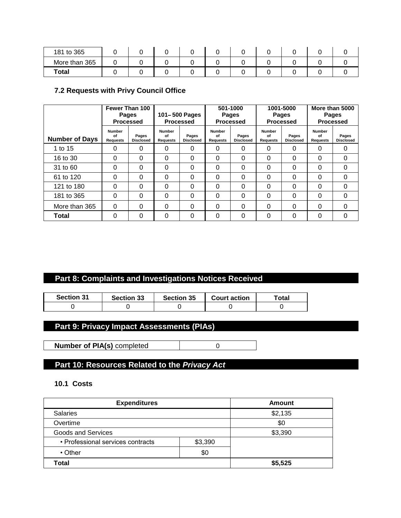| 181 to 365    |  |  |  |  |  |
|---------------|--|--|--|--|--|
| More than 365 |  |  |  |  |  |
| <b>Total</b>  |  |  |  |  |  |

#### **7.2 Requests with Privy Council Office**

|                       |                                        | Fewer Than 100<br><b>Pages</b><br><b>Processed</b> |                                        | 101-500 Pages<br><b>Processed</b> |                                        | 501-1000<br>Pages<br><b>Processed</b> |                                        | 1001-5000<br>Pages<br><b>Processed</b> |                          | More than 5000<br>Pages<br><b>Processed</b> |  |
|-----------------------|----------------------------------------|----------------------------------------------------|----------------------------------------|-----------------------------------|----------------------------------------|---------------------------------------|----------------------------------------|----------------------------------------|--------------------------|---------------------------------------------|--|
| <b>Number of Days</b> | <b>Number</b><br>of<br><b>Requests</b> | Pages<br><b>Disclosed</b>                          | <b>Number</b><br>of<br><b>Requests</b> | Pages<br><b>Disclosed</b>         | <b>Number</b><br>of<br><b>Requests</b> | Pages<br><b>Disclosed</b>             | <b>Number</b><br>of<br><b>Requests</b> | Pages<br><b>Disclosed</b>              | Number<br>Ωf<br>Requests | Pages<br><b>Disclosed</b>                   |  |
| 1 to 15               | 0                                      | 0                                                  | 0                                      | 0                                 | 0                                      | 0                                     | 0                                      | 0                                      | 0                        | 0                                           |  |
| 16 to 30              | 0                                      | $\Omega$                                           | $\Omega$                               | $\Omega$                          | $\Omega$                               | 0                                     | 0                                      | 0                                      | 0                        | $\Omega$                                    |  |
| 31 to 60              | 0                                      | $\Omega$                                           | $\Omega$                               | $\Omega$                          | $\Omega$                               | 0                                     | 0                                      | 0                                      | 0                        | $\Omega$                                    |  |
| 61 to 120             | 0                                      | $\Omega$                                           | $\Omega$                               | $\Omega$                          | $\Omega$                               | 0                                     | 0                                      | 0                                      | 0                        | $\Omega$                                    |  |
| 121 to 180            | 0                                      | $\Omega$                                           | $\Omega$                               | $\Omega$                          | $\Omega$                               | 0                                     | 0                                      | 0                                      | 0                        | 0                                           |  |
| 181 to 365            | 0                                      | $\Omega$                                           | $\Omega$                               | $\Omega$                          | $\Omega$                               | 0                                     | 0                                      | 0                                      | 0                        | $\Omega$                                    |  |
| More than 365         | $\Omega$                               | $\Omega$                                           | $\Omega$                               | $\Omega$                          | $\Omega$                               | 0                                     | 0                                      | 0                                      | $\Omega$                 | $\Omega$                                    |  |
| Total                 | 0                                      | $\Omega$                                           | $\Omega$                               | $\Omega$                          | 0                                      | 0                                     | 0                                      | 0                                      | $\Omega$                 | $\Omega$                                    |  |

### **Part 8: Complaints and Investigations Notices Received**

| <b>Section 31</b> | <b>Section 33</b> | <b>Section 35</b> | <b>Court action</b> | ™otal |
|-------------------|-------------------|-------------------|---------------------|-------|
|                   |                   |                   |                     |       |

#### **Part 9: Privacy Impact Assessments (PIAs)**

**Number of PIA(s)** completed 0

### **Part 10: Resources Related to the** *Privacy Act*

#### **10.1 Costs**

| <b>Expenditures</b>               | Amount  |  |
|-----------------------------------|---------|--|
| <b>Salaries</b>                   | \$2,135 |  |
| Overtime                          | \$0     |  |
| <b>Goods and Services</b>         | \$3,390 |  |
| • Professional services contracts | \$3,390 |  |
| $\cdot$ Other                     | \$0     |  |
| Total                             | \$5,525 |  |